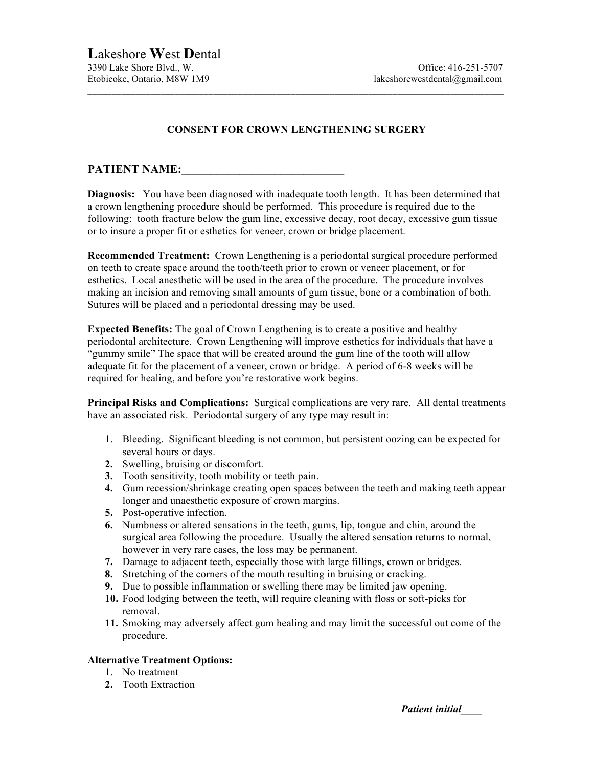## **CONSENT FOR CROWN LENGTHENING SURGERY**

\_\_\_\_\_\_\_\_\_\_\_\_\_\_\_\_\_\_\_\_\_\_\_\_\_\_\_\_\_\_\_\_\_\_\_\_\_\_\_\_\_\_\_\_\_\_\_\_\_\_\_\_\_\_\_\_\_\_\_\_\_\_\_\_\_\_\_\_\_\_\_\_\_\_\_\_\_\_\_\_\_\_\_\_\_\_

## PATIENT NAME:

**Diagnosis:** You have been diagnosed with inadequate tooth length. It has been determined that a crown lengthening procedure should be performed. This procedure is required due to the following: tooth fracture below the gum line, excessive decay, root decay, excessive gum tissue or to insure a proper fit or esthetics for veneer, crown or bridge placement.

**Recommended Treatment:** Crown Lengthening is a periodontal surgical procedure performed on teeth to create space around the tooth/teeth prior to crown or veneer placement, or for esthetics. Local anesthetic will be used in the area of the procedure. The procedure involves making an incision and removing small amounts of gum tissue, bone or a combination of both. Sutures will be placed and a periodontal dressing may be used.

**Expected Benefits:** The goal of Crown Lengthening is to create a positive and healthy periodontal architecture. Crown Lengthening will improve esthetics for individuals that have a "gummy smile" The space that will be created around the gum line of the tooth will allow adequate fit for the placement of a veneer, crown or bridge. A period of 6-8 weeks will be required for healing, and before you're restorative work begins.

**Principal Risks and Complications:** Surgical complications are very rare. All dental treatments have an associated risk. Periodontal surgery of any type may result in:

- 1. Bleeding. Significant bleeding is not common, but persistent oozing can be expected for several hours or days.
- **2.** Swelling, bruising or discomfort.
- **3.** Tooth sensitivity, tooth mobility or teeth pain.
- **4.** Gum recession/shrinkage creating open spaces between the teeth and making teeth appear longer and unaesthetic exposure of crown margins.
- **5.** Post-operative infection.
- **6.** Numbness or altered sensations in the teeth, gums, lip, tongue and chin, around the surgical area following the procedure. Usually the altered sensation returns to normal, however in very rare cases, the loss may be permanent.
- **7.** Damage to adjacent teeth, especially those with large fillings, crown or bridges.
- **8.** Stretching of the corners of the mouth resulting in bruising or cracking.
- **9.** Due to possible inflammation or swelling there may be limited jaw opening.
- **10.** Food lodging between the teeth, will require cleaning with floss or soft-picks for removal.
- **11.** Smoking may adversely affect gum healing and may limit the successful out come of the procedure.

## **Alternative Treatment Options:**

- 1. No treatment
- **2.** Tooth Extraction

*Patient initial\_\_\_\_*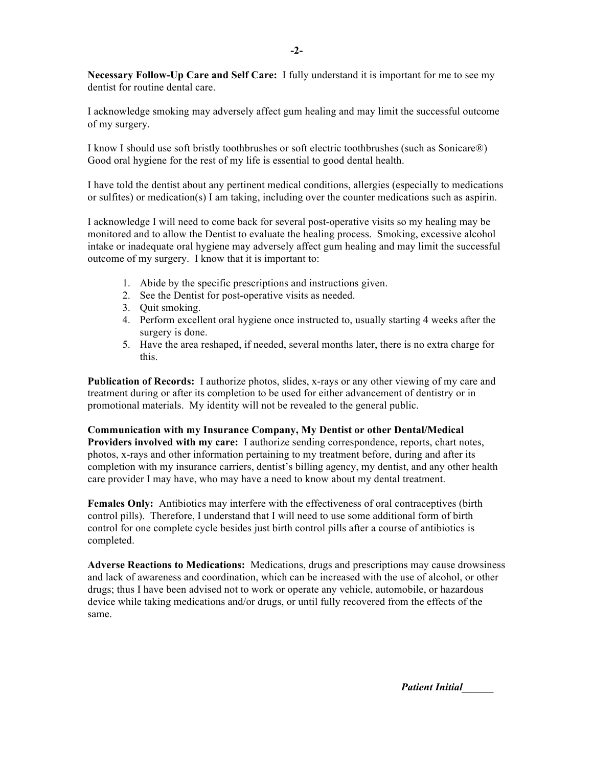**Necessary Follow-Up Care and Self Care:** I fully understand it is important for me to see my dentist for routine dental care.

I acknowledge smoking may adversely affect gum healing and may limit the successful outcome of my surgery.

I know I should use soft bristly toothbrushes or soft electric toothbrushes (such as Sonicare®) Good oral hygiene for the rest of my life is essential to good dental health.

I have told the dentist about any pertinent medical conditions, allergies (especially to medications or sulfites) or medication(s) I am taking, including over the counter medications such as aspirin.

I acknowledge I will need to come back for several post-operative visits so my healing may be monitored and to allow the Dentist to evaluate the healing process. Smoking, excessive alcohol intake or inadequate oral hygiene may adversely affect gum healing and may limit the successful outcome of my surgery. I know that it is important to:

- 1. Abide by the specific prescriptions and instructions given.
- 2. See the Dentist for post-operative visits as needed.
- 3. Quit smoking.
- 4. Perform excellent oral hygiene once instructed to, usually starting 4 weeks after the surgery is done.
- 5. Have the area reshaped, if needed, several months later, there is no extra charge for this.

**Publication of Records:** I authorize photos, slides, x-rays or any other viewing of my care and treatment during or after its completion to be used for either advancement of dentistry or in promotional materials. My identity will not be revealed to the general public.

**Communication with my Insurance Company, My Dentist or other Dental/Medical Providers involved with my care:** I authorize sending correspondence, reports, chart notes, photos, x-rays and other information pertaining to my treatment before, during and after its completion with my insurance carriers, dentist's billing agency, my dentist, and any other health care provider I may have, who may have a need to know about my dental treatment.

**Females Only:** Antibiotics may interfere with the effectiveness of oral contraceptives (birth control pills). Therefore, I understand that I will need to use some additional form of birth control for one complete cycle besides just birth control pills after a course of antibiotics is completed.

**Adverse Reactions to Medications:** Medications, drugs and prescriptions may cause drowsiness and lack of awareness and coordination, which can be increased with the use of alcohol, or other drugs; thus I have been advised not to work or operate any vehicle, automobile, or hazardous device while taking medications and/or drugs, or until fully recovered from the effects of the same.

*Patient Initial\_\_\_\_\_\_*